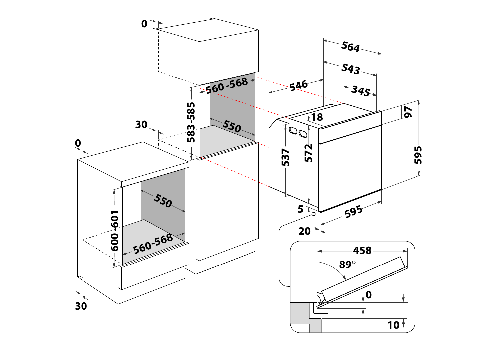